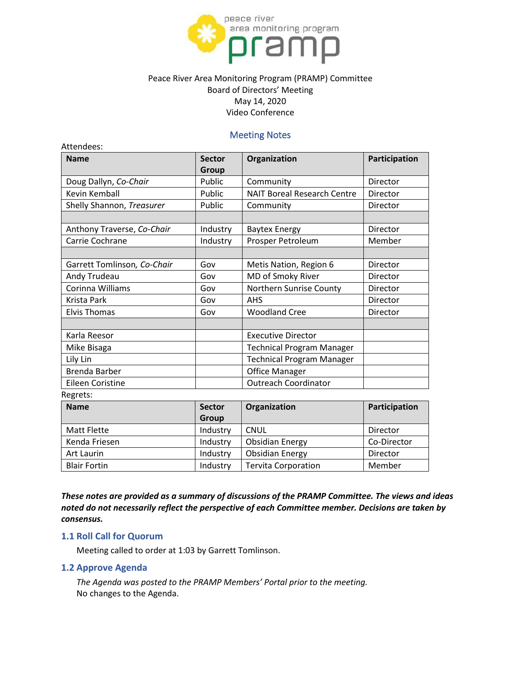

# Peace River Area Monitoring Program (PRAMP) Committee Board of Directors' Meeting May 14, 2020 Video Conference

# Meeting Notes

| <b>Name</b>                 | <b>Sector</b><br><b>Group</b> | Organization                       | Participation |
|-----------------------------|-------------------------------|------------------------------------|---------------|
| Doug Dallyn, Co-Chair       | Public                        | Community                          | Director      |
| Kevin Kemball               | Public                        | <b>NAIT Boreal Research Centre</b> | Director      |
| Shelly Shannon, Treasurer   | Public                        | Community                          | Director      |
|                             |                               |                                    |               |
| Anthony Traverse, Co-Chair  | Industry                      | <b>Baytex Energy</b>               | Director      |
| Carrie Cochrane             | Industry                      | Prosper Petroleum                  | Member        |
|                             |                               |                                    |               |
| Garrett Tomlinson, Co-Chair | Gov                           | Metis Nation, Region 6             | Director      |
| Andy Trudeau                | Gov                           | MD of Smoky River                  | Director      |
| Corinna Williams            | Gov                           | Northern Sunrise County            | Director      |
| Krista Park                 | Gov                           | <b>AHS</b>                         | Director      |
| <b>Elvis Thomas</b>         | Gov                           | <b>Woodland Cree</b>               | Director      |
|                             |                               |                                    |               |
| Karla Reesor                |                               | <b>Executive Director</b>          |               |
| Mike Bisaga                 |                               | <b>Technical Program Manager</b>   |               |
| Lily Lin                    |                               | <b>Technical Program Manager</b>   |               |
| Brenda Barber               |                               | <b>Office Manager</b>              |               |
| Eileen Coristine            |                               | <b>Outreach Coordinator</b>        |               |
| Regrets:                    |                               |                                    |               |

| <b>Name</b>         | <b>Sector</b> | Organization               | Participation |
|---------------------|---------------|----------------------------|---------------|
|                     | Group         |                            |               |
| <b>Matt Flette</b>  | Industry      | CNUL                       | Director      |
| Kenda Friesen       | Industry      | <b>Obsidian Energy</b>     | Co-Director   |
| Art Laurin          | Industry      | <b>Obsidian Energy</b>     | Director      |
| <b>Blair Fortin</b> | Industry      | <b>Tervita Corporation</b> | Member        |

*These notes are provided as a summary of discussions of the PRAMP Committee. The views and ideas noted do not necessarily reflect the perspective of each Committee member. Decisions are taken by consensus.*

### **1.1 Roll Call for Quorum**

Meeting called to order at 1:03 by Garrett Tomlinson.

#### **1.2 Approve Agenda**

Attendees:

*The Agenda was posted to the PRAMP Members' Portal prior to the meeting.* No changes to the Agenda.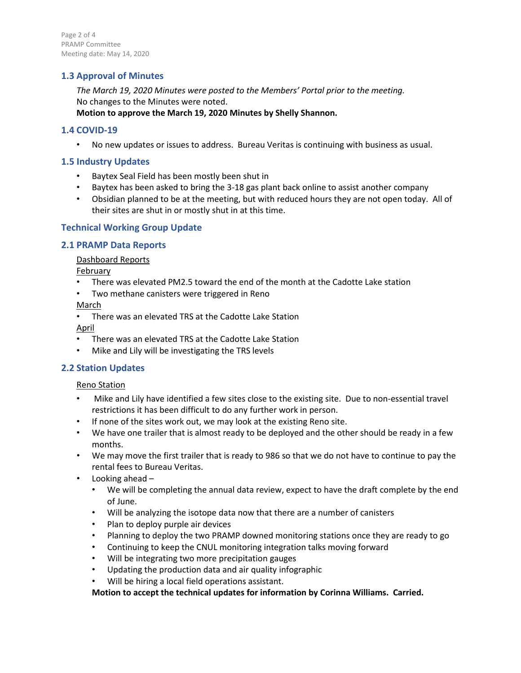Page 2 of 4 PRAMP Committee Meeting date: May 14, 2020

# **1.3 Approval of Minutes**

*The March 19, 2020 Minutes were posted to the Members' Portal prior to the meeting.* No changes to the Minutes were noted. **Motion to approve the March 19, 2020 Minutes by Shelly Shannon.** 

### **1.4 COVID-19**

• No new updates or issues to address. Bureau Veritas is continuing with business as usual.

# **1.5 Industry Updates**

- Baytex Seal Field has been mostly been shut in
- Baytex has been asked to bring the 3-18 gas plant back online to assist another company
- Obsidian planned to be at the meeting, but with reduced hours they are not open today. All of their sites are shut in or mostly shut in at this time.

# **Technical Working Group Update**

### **2.1 PRAMP Data Reports**

#### Dashboard Reports

February

- There was elevated PM2.5 toward the end of the month at the Cadotte Lake station
- Two methane canisters were triggered in Reno

#### March

• There was an elevated TRS at the Cadotte Lake Station

April

- There was an elevated TRS at the Cadotte Lake Station
- Mike and Lily will be investigating the TRS levels

# **2.2 Station Updates**

#### Reno Station

- Mike and Lily have identified a few sites close to the existing site. Due to non-essential travel restrictions it has been difficult to do any further work in person.
- If none of the sites work out, we may look at the existing Reno site.
- We have one trailer that is almost ready to be deployed and the other should be ready in a few months.
- We may move the first trailer that is ready to 986 so that we do not have to continue to pay the rental fees to Bureau Veritas.
- Looking ahead
	- We will be completing the annual data review, expect to have the draft complete by the end of June.
	- Will be analyzing the isotope data now that there are a number of canisters
	- Plan to deploy purple air devices
	- Planning to deploy the two PRAMP downed monitoring stations once they are ready to go
	- Continuing to keep the CNUL monitoring integration talks moving forward
	- Will be integrating two more precipitation gauges
	- Updating the production data and air quality infographic
	- Will be hiring a local field operations assistant.

**Motion to accept the technical updates for information by Corinna Williams. Carried.**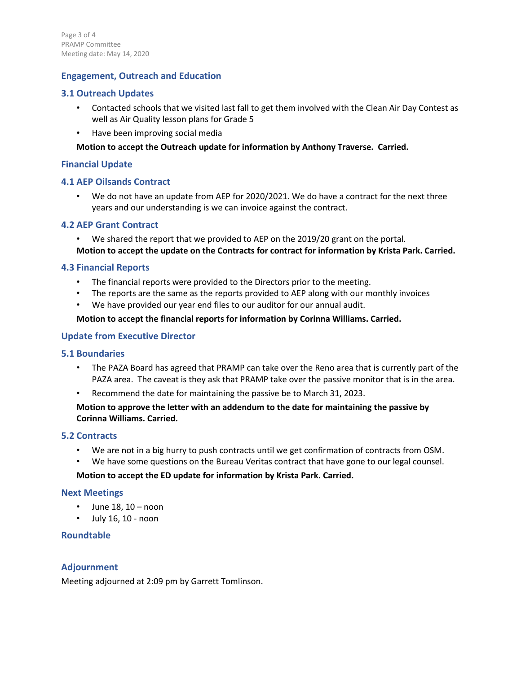# **Engagement, Outreach and Education**

# **3.1 Outreach Updates**

- Contacted schools that we visited last fall to get them involved with the Clean Air Day Contest as well as Air Quality lesson plans for Grade 5
- Have been improving social media

# **Motion to accept the Outreach update for information by Anthony Traverse. Carried.**

# **Financial Update**

# **4.1 AEP Oilsands Contract**

• We do not have an update from AEP for 2020/2021. We do have a contract for the next three years and our understanding is we can invoice against the contract.

# **4.2 AEP Grant Contract**

- We shared the report that we provided to AEP on the 2019/20 grant on the portal.
- **Motion to accept the update on the Contracts for contract for information by Krista Park. Carried.**

# **4.3 Financial Reports**

- The financial reports were provided to the Directors prior to the meeting.
- The reports are the same as the reports provided to AEP along with our monthly invoices
- We have provided our year end files to our auditor for our annual audit.

### **Motion to accept the financial reports for information by Corinna Williams. Carried.**

# **Update from Executive Director**

# **5.1 Boundaries**

- The PAZA Board has agreed that PRAMP can take over the Reno area that is currently part of the PAZA area. The caveat is they ask that PRAMP take over the passive monitor that is in the area.
- Recommend the date for maintaining the passive be to March 31, 2023.

# **Motion to approve the letter with an addendum to the date for maintaining the passive by Corinna Williams. Carried.**

# **5.2 Contracts**

- We are not in a big hurry to push contracts until we get confirmation of contracts from OSM.
- We have some questions on the Bureau Veritas contract that have gone to our legal counsel.

# **Motion to accept the ED update for information by Krista Park. Carried.**

#### **Next Meetings**

- $\cdot$  June 18, 10 noon
- July 16, 10 noon

# **Roundtable**

# **Adjournment**

Meeting adjourned at 2:09 pm by Garrett Tomlinson.